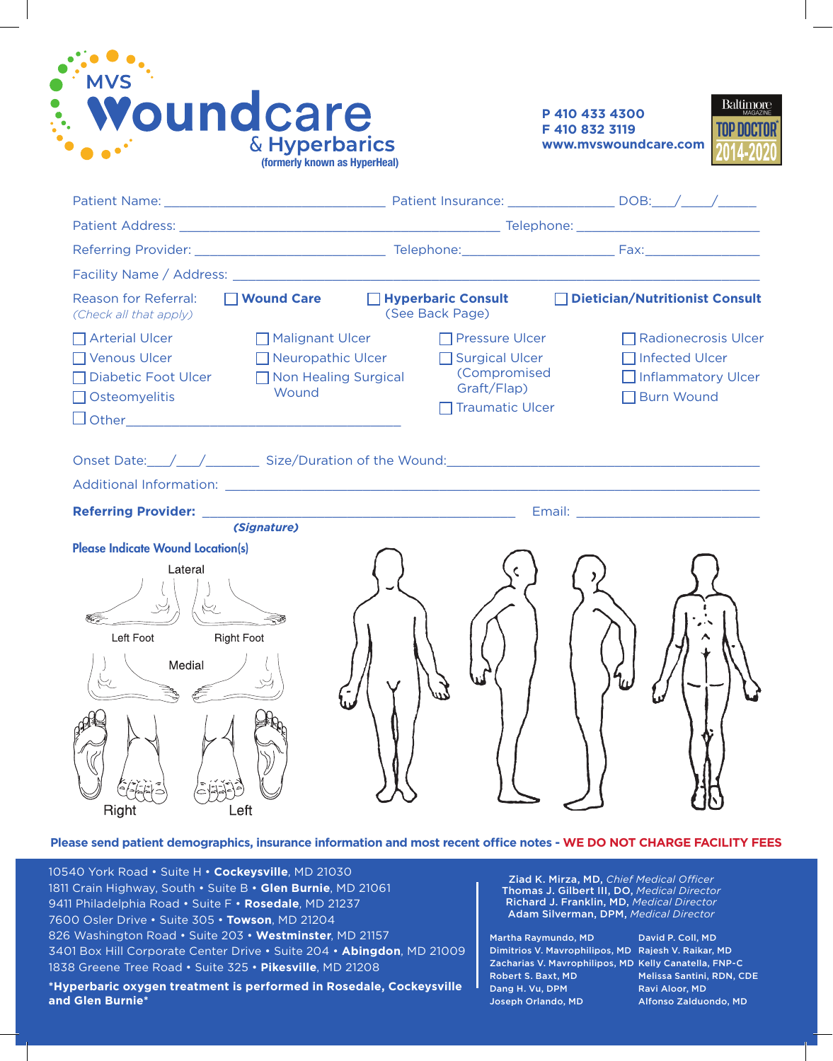



| Facility Name / Address: Name / Address: Name / Address: Name / Address: Name / Address: Name / Address: Name / Address: Name / Address: Name / Address: Name / Address: Name / Address: Name / Address: Name / Address: Name                      |                                                               |                                        |                                                                                      |  |  |
|----------------------------------------------------------------------------------------------------------------------------------------------------------------------------------------------------------------------------------------------------|---------------------------------------------------------------|----------------------------------------|--------------------------------------------------------------------------------------|--|--|
| □ Wound Care<br>Reason for Referral:<br>(Check all that apply)                                                                                                                                                                                     | □ Hyperbaric Consult<br>(See Back Page)                       |                                        | □ Dietician/Nutritionist Consult                                                     |  |  |
| $\Box$ Arterial Ulcer<br>Malignant Ulcer<br>Venous Ulcer<br>Neuropathic Ulcer<br><b>Diabetic Foot Ulcer</b><br>Non Healing Surgical<br>Wound<br>Osteomyelitis                                                                                      | $\Box$ Pressure Ulcer<br>$\Box$ Surgical Ulcer<br>Graft/Flap) | (Compromised<br><b>Traumatic Ulcer</b> | □ Radionecrosis Ulcer<br>□ Infected Ulcer<br>Inflammatory Ulcer<br><b>Burn Wound</b> |  |  |
| Onset Date: $\angle$ $\angle$ Size/Duration of the Wound:                                                                                                                                                                                          |                                                               |                                        |                                                                                      |  |  |
|                                                                                                                                                                                                                                                    |                                                               |                                        |                                                                                      |  |  |
| <b>Referring Provider:</b> No. 2008. The Contract of the Contract of the Contract of the Contract of the Contract of the Contract of the Contract of the Contract of the Contract of the Contract of the Contract of the Contract o<br>(Signature) |                                                               |                                        |                                                                                      |  |  |
| <b>Please Indicate Wound Location(s)</b><br>Lateral<br>Left Foot<br><b>Right Foot</b><br>Medial<br>Right<br>Left                                                                                                                                   |                                                               |                                        |                                                                                      |  |  |

**Please send patient demographics, insurance information and most recent office notes - WE DO NOT CHARGE FACILITY FEES**

10540 York Road • Suite H • **Cockeysville**, MD 21030 1811 Crain Highway, South • Suite B • **Glen Burnie**, MD 21061 9411 Philadelphia Road • Suite F • **Rosedale**, MD 21237 7600 Osler Drive • Suite 305 • **Towson**, MD 21204 826 Washington Road • Suite 203 • **Westminster**, MD 21157 3401 Box Hill Corporate Center Drive • Suite 204 • **Abingdon**, MD 21009 1838 Greene Tree Road • Suite 325 • **Pikesville**, MD 21208

**\*Hyperbaric oxygen treatment is performed in Rosedale, Cockeysville and Glen Burnie\***

Ziad K. Mirza, MD, *Chief Medical Officer*  Thomas J. Gilbert III, DO, *Medical Director* Richard J. Franklin, MD, *Medical Director* Adam Silverman, DPM, *Medical Director*

Martha Raymundo, MD Dimitrios V. Mavrophilipos, MD Rajesh V. Raikar, MD Zacharias V. Mavrophilipos, MD Kelly Canatella, FNP-C Robert S. Baxt, MD Dang H. Vu, DPM Joseph Orlando, MD

David P. Coll, MD Melissa Santini, RDN, CDE Ravi Aloor, MD Alfonso Zalduondo, MD